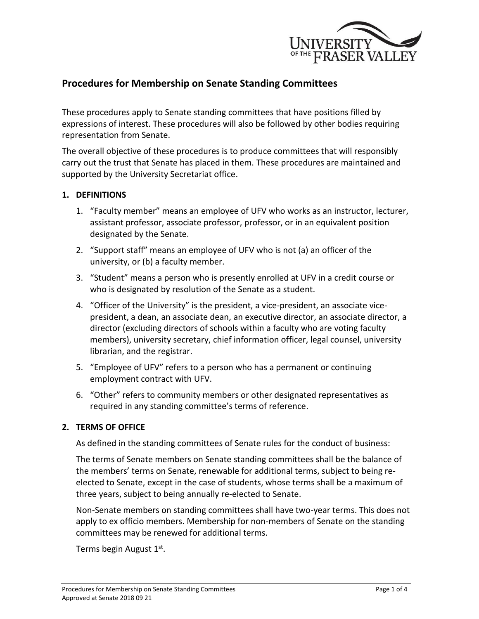

# **Procedures for Membership on Senate Standing Committees**

These procedures apply to Senate standing committees that have positions filled by expressions of interest. These procedures will also be followed by other bodies requiring representation from Senate.

The overall objective of these procedures is to produce committees that will responsibly carry out the trust that Senate has placed in them. These procedures are maintained and supported by the University Secretariat office.

#### **1. DEFINITIONS**

- 1. "Faculty member" means an employee of UFV who works as an instructor, lecturer, assistant professor, associate professor, professor, or in an equivalent position designated by the Senate.
- 2. "Support staff" means an employee of UFV who is not (a) an officer of the university, or (b) a faculty member.
- 3. "Student" means a person who is presently enrolled at UFV in a credit course or who is designated by resolution of the Senate as a student.
- 4. "Officer of the University" is the president, a vice-president, an associate vicepresident, a dean, an associate dean, an executive director, an associate director, a director (excluding directors of schools within a faculty who are voting faculty members), university secretary, chief information officer, legal counsel, university librarian, and the registrar.
- 5. "Employee of UFV" refers to a person who has a permanent or continuing employment contract with UFV.
- 6. "Other" refers to community members or other designated representatives as required in any standing committee's terms of reference.

### **2. TERMS OF OFFICE**

As defined in the standing committees of Senate rules for the conduct of business:

The terms of Senate members on Senate standing committees shall be the balance of the members' terms on Senate, renewable for additional terms, subject to being reelected to Senate, except in the case of students, whose terms shall be a maximum of three years, subject to being annually re-elected to Senate.

Non-Senate members on standing committees shall have two-year terms. This does not apply to ex officio members. Membership for non-members of Senate on the standing committees may be renewed for additional terms.

Terms begin August 1st.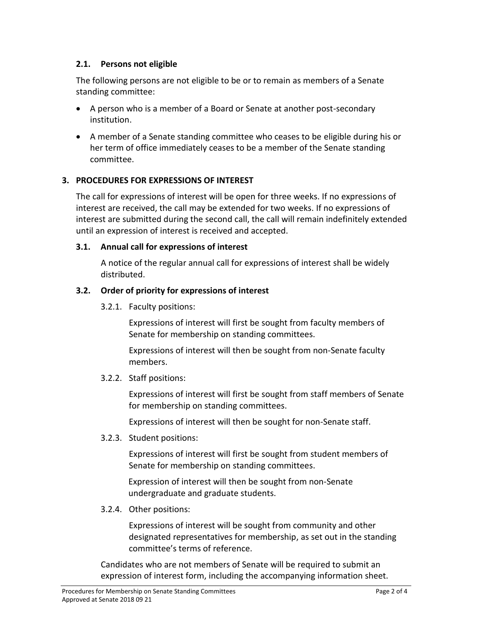# **2.1. Persons not eligible**

The following persons are not eligible to be or to remain as members of a Senate standing committee:

- A person who is a member of a Board or Senate at another post-secondary institution.
- A member of a Senate standing committee who ceases to be eligible during his or her term of office immediately ceases to be a member of the Senate standing committee.

# **3. PROCEDURES FOR EXPRESSIONS OF INTEREST**

The call for expressions of interest will be open for three weeks. If no expressions of interest are received, the call may be extended for two weeks. If no expressions of interest are submitted during the second call, the call will remain indefinitely extended until an expression of interest is received and accepted.

#### **3.1. Annual call for expressions of interest**

A notice of the regular annual call for expressions of interest shall be widely distributed.

#### **3.2. Order of priority for expressions of interest**

3.2.1. Faculty positions:

Expressions of interest will first be sought from faculty members of Senate for membership on standing committees.

Expressions of interest will then be sought from non-Senate faculty members.

### 3.2.2. Staff positions:

Expressions of interest will first be sought from staff members of Senate for membership on standing committees.

Expressions of interest will then be sought for non-Senate staff.

3.2.3. Student positions:

Expressions of interest will first be sought from student members of Senate for membership on standing committees.

Expression of interest will then be sought from non-Senate undergraduate and graduate students.

3.2.4. Other positions:

Expressions of interest will be sought from community and other designated representatives for membership, as set out in the standing committee's terms of reference.

Candidates who are not members of Senate will be required to submit an expression of interest form, including the accompanying information sheet.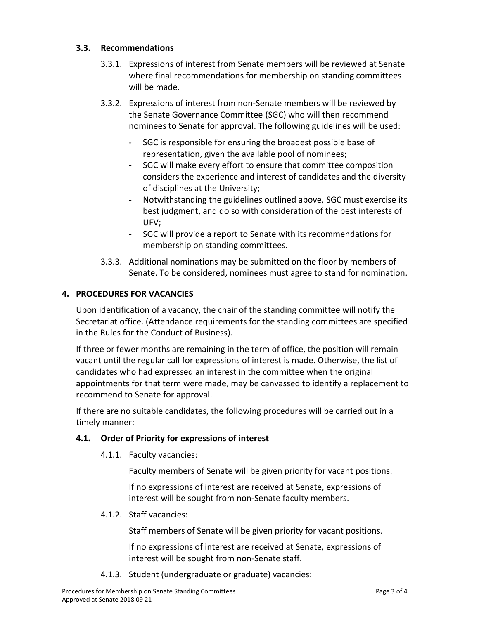### **3.3. Recommendations**

- 3.3.1. Expressions of interest from Senate members will be reviewed at Senate where final recommendations for membership on standing committees will be made.
- 3.3.2. Expressions of interest from non-Senate members will be reviewed by the Senate Governance Committee (SGC) who will then recommend nominees to Senate for approval. The following guidelines will be used:
	- SGC is responsible for ensuring the broadest possible base of representation, given the available pool of nominees;
	- SGC will make every effort to ensure that committee composition considers the experience and interest of candidates and the diversity of disciplines at the University;
	- Notwithstanding the guidelines outlined above, SGC must exercise its best judgment, and do so with consideration of the best interests of UFV;
	- SGC will provide a report to Senate with its recommendations for membership on standing committees.
- 3.3.3. Additional nominations may be submitted on the floor by members of Senate. To be considered, nominees must agree to stand for nomination.

# **4. PROCEDURES FOR VACANCIES**

Upon identification of a vacancy, the chair of the standing committee will notify the Secretariat office. (Attendance requirements for the standing committees are specified in the Rules for the Conduct of Business).

If three or fewer months are remaining in the term of office, the position will remain vacant until the regular call for expressions of interest is made. Otherwise, the list of candidates who had expressed an interest in the committee when the original appointments for that term were made, may be canvassed to identify a replacement to recommend to Senate for approval.

If there are no suitable candidates, the following procedures will be carried out in a timely manner:

### **4.1. Order of Priority for expressions of interest**

4.1.1. Faculty vacancies:

Faculty members of Senate will be given priority for vacant positions.

If no expressions of interest are received at Senate, expressions of interest will be sought from non-Senate faculty members.

4.1.2. Staff vacancies:

Staff members of Senate will be given priority for vacant positions.

If no expressions of interest are received at Senate, expressions of interest will be sought from non-Senate staff.

4.1.3. Student (undergraduate or graduate) vacancies: